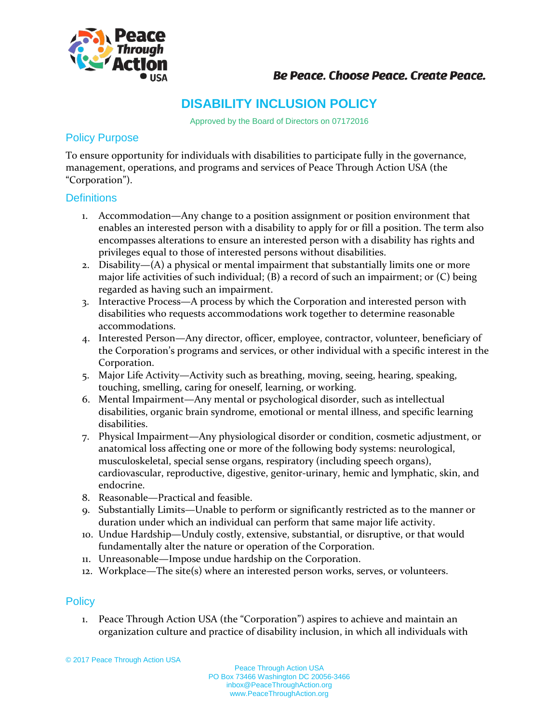

## **Be Peace. Choose Peace. Create Peace.**

# **DISABILITY INCLUSION POLICY**

Approved by the Board of Directors on 07172016

#### Policy Purpose

To ensure opportunity for individuals with disabilities to participate fully in the governance, management, operations, and programs and services of Peace Through Action USA (the "Corporation").

#### **Definitions**

- 1. Accommodation—Any change to a position assignment or position environment that enables an interested person with a disability to apply for or fill a position. The term also encompasses alterations to ensure an interested person with a disability has rights and privileges equal to those of interested persons without disabilities.
- 2. Disability— $(A)$  a physical or mental impairment that substantially limits one or more major life activities of such individual; (B) a record of such an impairment; or (C) being regarded as having such an impairment.
- 3. Interactive Process—A process by which the Corporation and interested person with disabilities who requests accommodations work together to determine reasonable accommodations.
- 4. Interested Person—Any director, officer, employee, contractor, volunteer, beneficiary of the Corporation's programs and services, or other individual with a specific interest in the Corporation.
- 5. Major Life Activity—Activity such as breathing, moving, seeing, hearing, speaking, touching, smelling, caring for oneself, learning, or working.
- 6. Mental Impairment—Any mental or psychological disorder, such as intellectual disabilities, organic brain syndrome, emotional or mental illness, and specific learning disabilities.
- 7. Physical Impairment—Any physiological disorder or condition, cosmetic adjustment, or anatomical loss affecting one or more of the following body systems: neurological, musculoskeletal, special sense organs, respiratory (including speech organs), cardiovascular, reproductive, digestive, genitor-urinary, hemic and lymphatic, skin, and endocrine.
- 8. Reasonable—Practical and feasible.
- 9. Substantially Limits—Unable to perform or significantly restricted as to the manner or duration under which an individual can perform that same major life activity.
- 10. Undue Hardship—Unduly costly, extensive, substantial, or disruptive, or that would fundamentally alter the nature or operation of the Corporation.
- 11. Unreasonable—Impose undue hardship on the Corporation.
- 12. Workplace—The site(s) where an interested person works, serves, or volunteers.

### **Policy**

1. Peace Through Action USA (the "Corporation") aspires to achieve and maintain an organization culture and practice of disability inclusion, in which all individuals with

© 2017 Peace Through Action USA